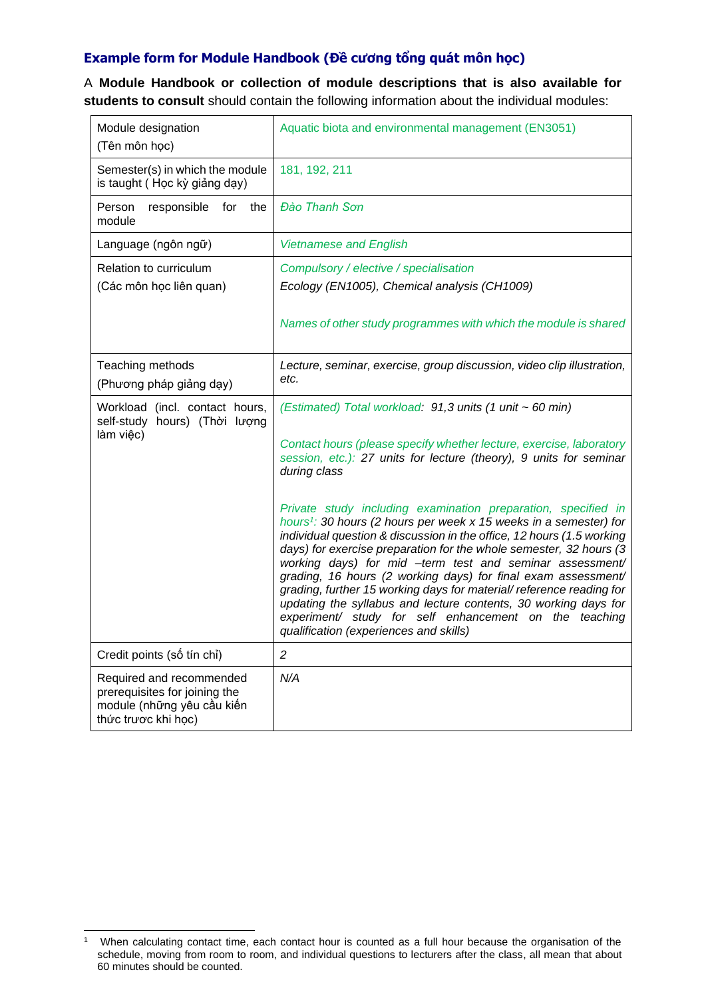## **Example form for Module Handbook (Đề cương tổng quát môn học)**

A **Module Handbook or collection of module descriptions that is also available for students to consult** should contain the following information about the individual modules:

| Module designation<br>(Tên môn học)                                                                            | Aquatic biota and environmental management (EN3051)                                                                                                                                                                                                                                                                                                                                                                                                                                                                                                                                                                                                                                                                                                                                                                                                                                                |
|----------------------------------------------------------------------------------------------------------------|----------------------------------------------------------------------------------------------------------------------------------------------------------------------------------------------------------------------------------------------------------------------------------------------------------------------------------------------------------------------------------------------------------------------------------------------------------------------------------------------------------------------------------------------------------------------------------------------------------------------------------------------------------------------------------------------------------------------------------------------------------------------------------------------------------------------------------------------------------------------------------------------------|
| Semester(s) in which the module<br>is taught (Học kỳ giảng dạy)                                                | 181, 192, 211                                                                                                                                                                                                                                                                                                                                                                                                                                                                                                                                                                                                                                                                                                                                                                                                                                                                                      |
| Person<br>responsible<br>for<br>the<br>module                                                                  | Đào Thanh Sơn                                                                                                                                                                                                                                                                                                                                                                                                                                                                                                                                                                                                                                                                                                                                                                                                                                                                                      |
| Language (ngôn ngữ)                                                                                            | <b>Vietnamese and English</b>                                                                                                                                                                                                                                                                                                                                                                                                                                                                                                                                                                                                                                                                                                                                                                                                                                                                      |
| Relation to curriculum                                                                                         | Compulsory / elective / specialisation                                                                                                                                                                                                                                                                                                                                                                                                                                                                                                                                                                                                                                                                                                                                                                                                                                                             |
| (Các môn học liên quan)                                                                                        | Ecology (EN1005), Chemical analysis (CH1009)                                                                                                                                                                                                                                                                                                                                                                                                                                                                                                                                                                                                                                                                                                                                                                                                                                                       |
|                                                                                                                | Names of other study programmes with which the module is shared                                                                                                                                                                                                                                                                                                                                                                                                                                                                                                                                                                                                                                                                                                                                                                                                                                    |
| Teaching methods                                                                                               | Lecture, seminar, exercise, group discussion, video clip illustration,                                                                                                                                                                                                                                                                                                                                                                                                                                                                                                                                                                                                                                                                                                                                                                                                                             |
| (Phương pháp giảng dạy)                                                                                        | etc.                                                                                                                                                                                                                                                                                                                                                                                                                                                                                                                                                                                                                                                                                                                                                                                                                                                                                               |
| Workload (incl. contact hours,<br>self-study hours) (Thời lượng<br>làm việc)                                   | (Estimated) Total workload: 91,3 units (1 unit ~ 60 min)<br>Contact hours (please specify whether lecture, exercise, laboratory<br>session, etc.): 27 units for lecture (theory), 9 units for seminar<br>during class<br>Private study including examination preparation, specified in<br>hours <sup>1</sup> : 30 hours (2 hours per week x 15 weeks in a semester) for<br>individual question & discussion in the office, 12 hours (1.5 working<br>days) for exercise preparation for the whole semester, 32 hours (3<br>working days) for mid -term test and seminar assessment/<br>grading, 16 hours (2 working days) for final exam assessment/<br>grading, further 15 working days for material/ reference reading for<br>updating the syllabus and lecture contents, 30 working days for<br>experiment/ study for self enhancement on the teaching<br>qualification (experiences and skills) |
| Credit points (số tín chỉ)                                                                                     | $\overline{c}$                                                                                                                                                                                                                                                                                                                                                                                                                                                                                                                                                                                                                                                                                                                                                                                                                                                                                     |
| Required and recommended<br>prerequisites for joining the<br>module (những yêu cầu kiến<br>thức trược khi học) | N/A                                                                                                                                                                                                                                                                                                                                                                                                                                                                                                                                                                                                                                                                                                                                                                                                                                                                                                |

<sup>1</sup> When calculating contact time, each contact hour is counted as a full hour because the organisation of the schedule, moving from room to room, and individual questions to lecturers after the class, all mean that about 60 minutes should be counted.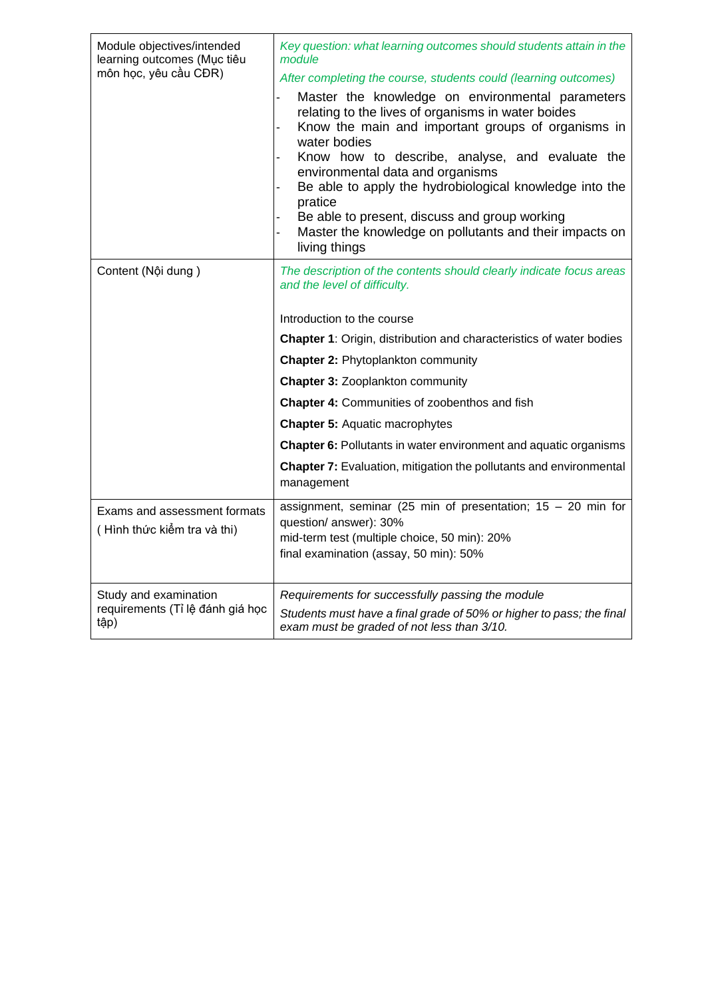| Module objectives/intended<br>learning outcomes (Mục tiêu<br>môn học, yêu cầu CĐR) | Key question: what learning outcomes should students attain in the<br>module<br>After completing the course, students could (learning outcomes)                                                                                                                                                                                                                                                                                                                        |
|------------------------------------------------------------------------------------|------------------------------------------------------------------------------------------------------------------------------------------------------------------------------------------------------------------------------------------------------------------------------------------------------------------------------------------------------------------------------------------------------------------------------------------------------------------------|
|                                                                                    | Master the knowledge on environmental parameters<br>relating to the lives of organisms in water boides<br>Know the main and important groups of organisms in<br>water bodies<br>Know how to describe, analyse, and evaluate the<br>environmental data and organisms<br>Be able to apply the hydrobiological knowledge into the<br>pratice<br>Be able to present, discuss and group working<br>Master the knowledge on pollutants and their impacts on<br>living things |
| Content (Nội dung)                                                                 | The description of the contents should clearly indicate focus areas<br>and the level of difficulty.                                                                                                                                                                                                                                                                                                                                                                    |
|                                                                                    | Introduction to the course                                                                                                                                                                                                                                                                                                                                                                                                                                             |
|                                                                                    | <b>Chapter 1:</b> Origin, distribution and characteristics of water bodies                                                                                                                                                                                                                                                                                                                                                                                             |
|                                                                                    | <b>Chapter 2: Phytoplankton community</b>                                                                                                                                                                                                                                                                                                                                                                                                                              |
|                                                                                    | <b>Chapter 3: Zooplankton community</b>                                                                                                                                                                                                                                                                                                                                                                                                                                |
|                                                                                    | <b>Chapter 4: Communities of zoobenthos and fish</b>                                                                                                                                                                                                                                                                                                                                                                                                                   |
|                                                                                    | <b>Chapter 5: Aquatic macrophytes</b>                                                                                                                                                                                                                                                                                                                                                                                                                                  |
|                                                                                    | Chapter 6: Pollutants in water environment and aquatic organisms                                                                                                                                                                                                                                                                                                                                                                                                       |
|                                                                                    | Chapter 7: Evaluation, mitigation the pollutants and environmental<br>management                                                                                                                                                                                                                                                                                                                                                                                       |
| Exams and assessment formats<br>(Hình thức kiểm tra và thi)                        | assignment, seminar (25 min of presentation; $15 - 20$ min for<br>question/ answer): 30%<br>mid-term test (multiple choice, 50 min): 20%<br>final examination (assay, 50 min): 50%                                                                                                                                                                                                                                                                                     |
| Study and examination<br>requirements (Tỉ lệ đánh giá học<br>tập)                  | Requirements for successfully passing the module<br>Students must have a final grade of 50% or higher to pass; the final<br>exam must be graded of not less than 3/10.                                                                                                                                                                                                                                                                                                 |